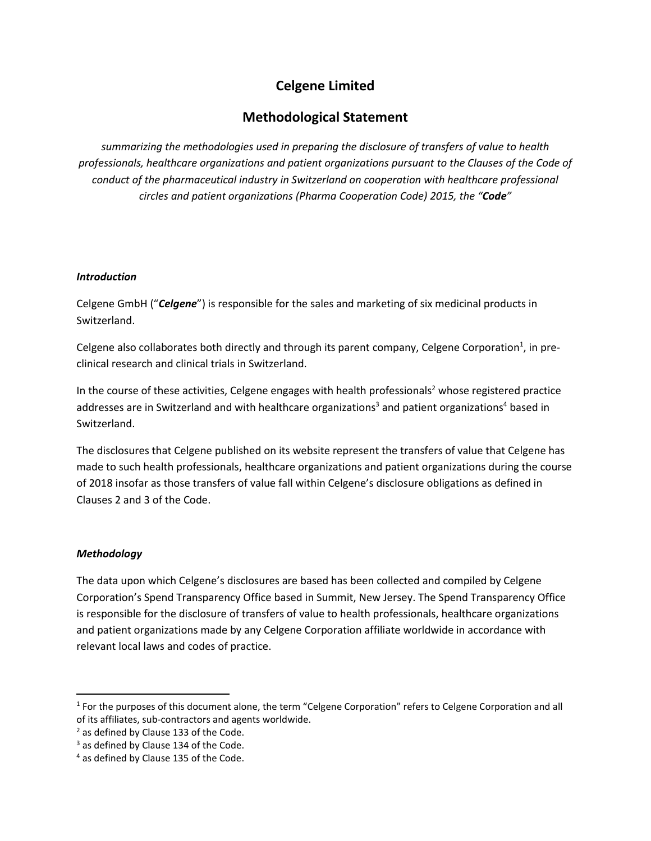# **Celgene Limited**

# **Methodological Statement**

*summarizing the methodologies used in preparing the disclosure of transfers of value to health professionals, healthcare organizations and patient organizations pursuant to the Clauses of the Code of conduct of the pharmaceutical industry in Switzerland on cooperation with healthcare professional circles and patient organizations (Pharma Cooperation Code) 2015, the "Code"*

# *Introduction*

Celgene GmbH ("*Celgene*") is responsible for the sales and marketing of six medicinal products in Switzerland.

Celgene also collaborates both directly and through its parent company, Celgene Corporation<sup>1</sup>, in preclinical research and clinical trials in Switzerland.

In the course of these activities, Celgene engages with health professionals<sup>2</sup> whose registered practice addresses are in Switzerland and with healthcare organizations<sup>3</sup> and patient organizations<sup>4</sup> based in Switzerland.

The disclosures that Celgene published on its website represent the transfers of value that Celgene has made to such health professionals, healthcare organizations and patient organizations during the course of 2018 insofar as those transfers of value fall within Celgene's disclosure obligations as defined in Clauses 2 and 3 of the Code.

# *Methodology*

 $\overline{\phantom{a}}$ 

The data upon which Celgene's disclosures are based has been collected and compiled by Celgene Corporation's Spend Transparency Office based in Summit, New Jersey. The Spend Transparency Office is responsible for the disclosure of transfers of value to health professionals, healthcare organizations and patient organizations made by any Celgene Corporation affiliate worldwide in accordance with relevant local laws and codes of practice.

<sup>&</sup>lt;sup>1</sup> For the purposes of this document alone, the term "Celgene Corporation" refers to Celgene Corporation and all of its affiliates, sub-contractors and agents worldwide.

<sup>&</sup>lt;sup>2</sup> as defined by Clause 133 of the Code.

 $3$  as defined by Clause 134 of the Code.

<sup>4</sup> as defined by Clause 135 of the Code.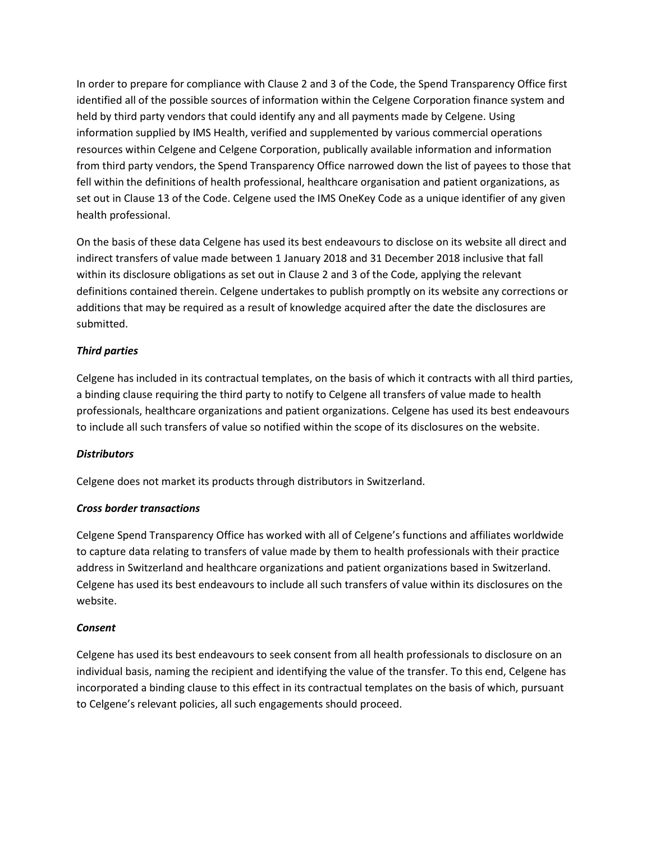In order to prepare for compliance with Clause 2 and 3 of the Code, the Spend Transparency Office first identified all of the possible sources of information within the Celgene Corporation finance system and held by third party vendors that could identify any and all payments made by Celgene. Using information supplied by IMS Health, verified and supplemented by various commercial operations resources within Celgene and Celgene Corporation, publically available information and information from third party vendors, the Spend Transparency Office narrowed down the list of payees to those that fell within the definitions of health professional, healthcare organisation and patient organizations, as set out in Clause 13 of the Code. Celgene used the IMS OneKey Code as a unique identifier of any given health professional.

On the basis of these data Celgene has used its best endeavours to disclose on its website all direct and indirect transfers of value made between 1 January 2018 and 31 December 2018 inclusive that fall within its disclosure obligations as set out in Clause 2 and 3 of the Code, applying the relevant definitions contained therein. Celgene undertakes to publish promptly on its website any corrections or additions that may be required as a result of knowledge acquired after the date the disclosures are submitted.

# *Third parties*

Celgene has included in its contractual templates, on the basis of which it contracts with all third parties, a binding clause requiring the third party to notify to Celgene all transfers of value made to health professionals, healthcare organizations and patient organizations. Celgene has used its best endeavours to include all such transfers of value so notified within the scope of its disclosures on the website.

#### *Distributors*

Celgene does not market its products through distributors in Switzerland.

#### *Cross border transactions*

Celgene Spend Transparency Office has worked with all of Celgene's functions and affiliates worldwide to capture data relating to transfers of value made by them to health professionals with their practice address in Switzerland and healthcare organizations and patient organizations based in Switzerland. Celgene has used its best endeavours to include all such transfers of value within its disclosures on the website.

#### *Consent*

Celgene has used its best endeavours to seek consent from all health professionals to disclosure on an individual basis, naming the recipient and identifying the value of the transfer. To this end, Celgene has incorporated a binding clause to this effect in its contractual templates on the basis of which, pursuant to Celgene's relevant policies, all such engagements should proceed.